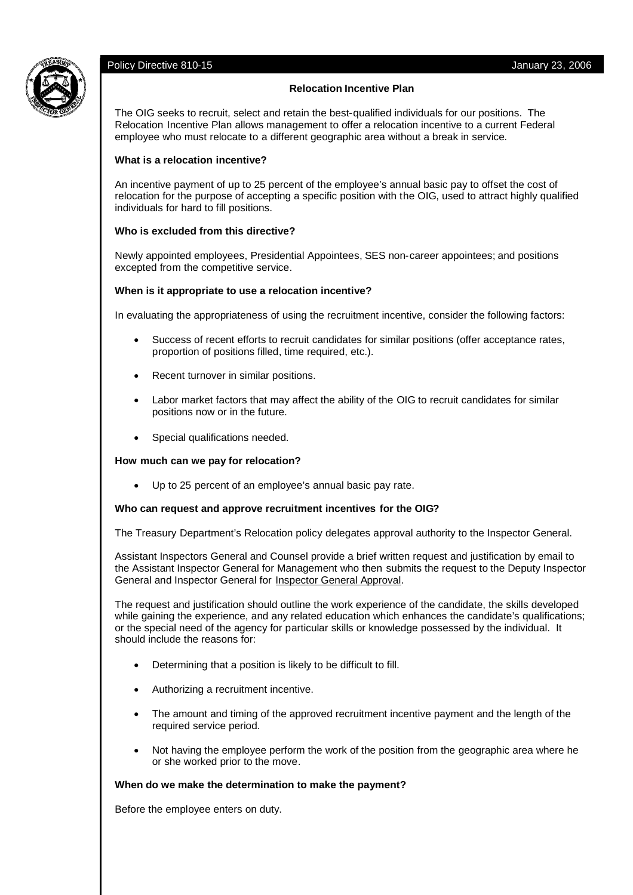# Policy Directive 810-15 **Policy Directive 810-15** Annual Method of the Control of the Control of the Control of the Control of the Control of the Control of the Control of the Control of the Control of the Control of the C



### **Relocation Incentive Plan**

The OIG seeks to recruit, select and retain the best-qualified individuals for our positions. The Relocation Incentive Plan allows management to offer a relocation incentive to a current Federal employee who must relocate to a different geographic area without a break in service.

### **What is a relocation incentive?**

An incentive payment of up to 25 percent of the employee's annual basic pay to offset the cost of relocation for the purpose of accepting a specific position with the OIG, used to attract highly qualified individuals for hard to fill positions.

# **Who is excluded from this directive?**

Newly appointed employees, Presidential Appointees, SES non-career appointees; and positions excepted from the competitive service.

# **When is it appropriate to use a relocation incentive?**

In evaluating the appropriateness of using the recruitment incentive, consider the following factors:

- Success of recent efforts to recruit candidates for similar positions (offer acceptance rates, proportion of positions filled, time required, etc.).
- Recent turnover in similar positions.
- Labor market factors that may affect the ability of the OIG to recruit candidates for similar positions now or in the future.
- Special qualifications needed.

#### **How much can we pay for relocation?**

Up to 25 percent of an employee's annual basic pay rate.

#### **Who can request and approve recruitment incentives for the OIG?**

The Treasury Department's Relocation policy delegates approval authority to the Inspector General.

Assistant Inspectors General and Counsel provide a brief written request and justification by email to the Assistant Inspector General for Management who then submits the request to the Deputy Inspector General and Inspector General for Inspector General Approval.

The request and justification should outline the work experience of the candidate, the skills developed while gaining the experience, and any related education which enhances the candidate's qualifications; or the special need of the agency for particular skills or knowledge possessed by the individual. It should include the reasons for:

- Determining that a position is likely to be difficult to fill.
- Authorizing a recruitment incentive.
- The amount and timing of the approved recruitment incentive payment and the length of the required service period.
- Not having the employee perform the work of the position from the geographic area where he or she worked prior to the move.

#### **When do we make the determination to make the payment?**

Before the employee enters on duty.